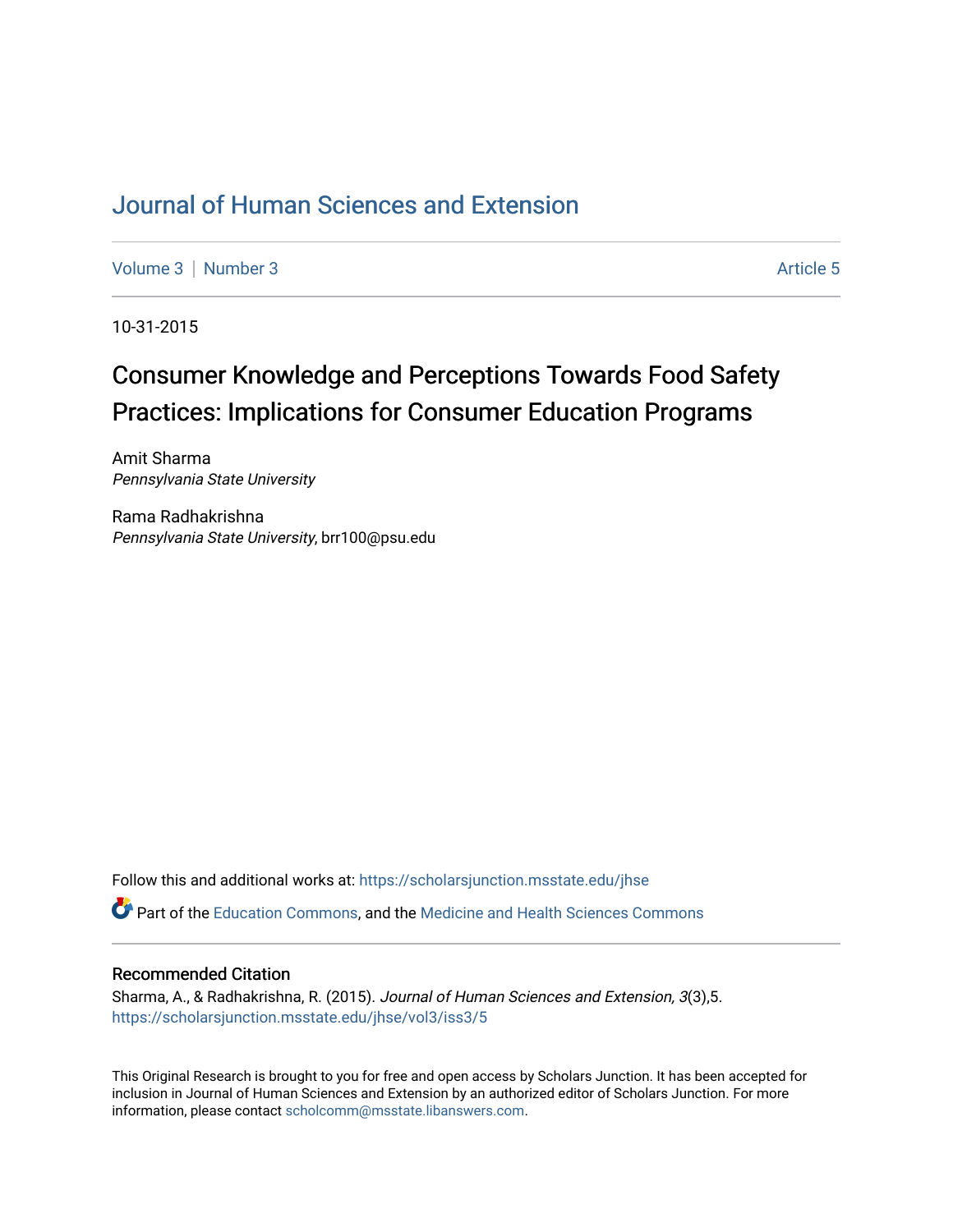## [Journal of Human Sciences and Extension](https://scholarsjunction.msstate.edu/jhse)

[Volume 3](https://scholarsjunction.msstate.edu/jhse/vol3) | [Number 3](https://scholarsjunction.msstate.edu/jhse/vol3/iss3) Article 5

10-31-2015

# Consumer Knowledge and Perceptions Towards Food Safety Practices: Implications for Consumer Education Programs

Amit Sharma Pennsylvania State University

Rama Radhakrishna Pennsylvania State University, brr100@psu.edu

Follow this and additional works at: [https://scholarsjunction.msstate.edu/jhse](https://scholarsjunction.msstate.edu/jhse?utm_source=scholarsjunction.msstate.edu%2Fjhse%2Fvol3%2Fiss3%2F5&utm_medium=PDF&utm_campaign=PDFCoverPages)

Part of the [Education Commons](http://network.bepress.com/hgg/discipline/784?utm_source=scholarsjunction.msstate.edu%2Fjhse%2Fvol3%2Fiss3%2F5&utm_medium=PDF&utm_campaign=PDFCoverPages), and the [Medicine and Health Sciences Commons](http://network.bepress.com/hgg/discipline/648?utm_source=scholarsjunction.msstate.edu%2Fjhse%2Fvol3%2Fiss3%2F5&utm_medium=PDF&utm_campaign=PDFCoverPages) 

#### Recommended Citation

Sharma, A., & Radhakrishna, R. (2015). Journal of Human Sciences and Extension, 3(3),5. [https://scholarsjunction.msstate.edu/jhse/vol3/iss3/5](https://scholarsjunction.msstate.edu/jhse/vol3/iss3/5?utm_source=scholarsjunction.msstate.edu%2Fjhse%2Fvol3%2Fiss3%2F5&utm_medium=PDF&utm_campaign=PDFCoverPages)

This Original Research is brought to you for free and open access by Scholars Junction. It has been accepted for inclusion in Journal of Human Sciences and Extension by an authorized editor of Scholars Junction. For more information, please contact [scholcomm@msstate.libanswers.com](mailto:scholcomm@msstate.libanswers.com).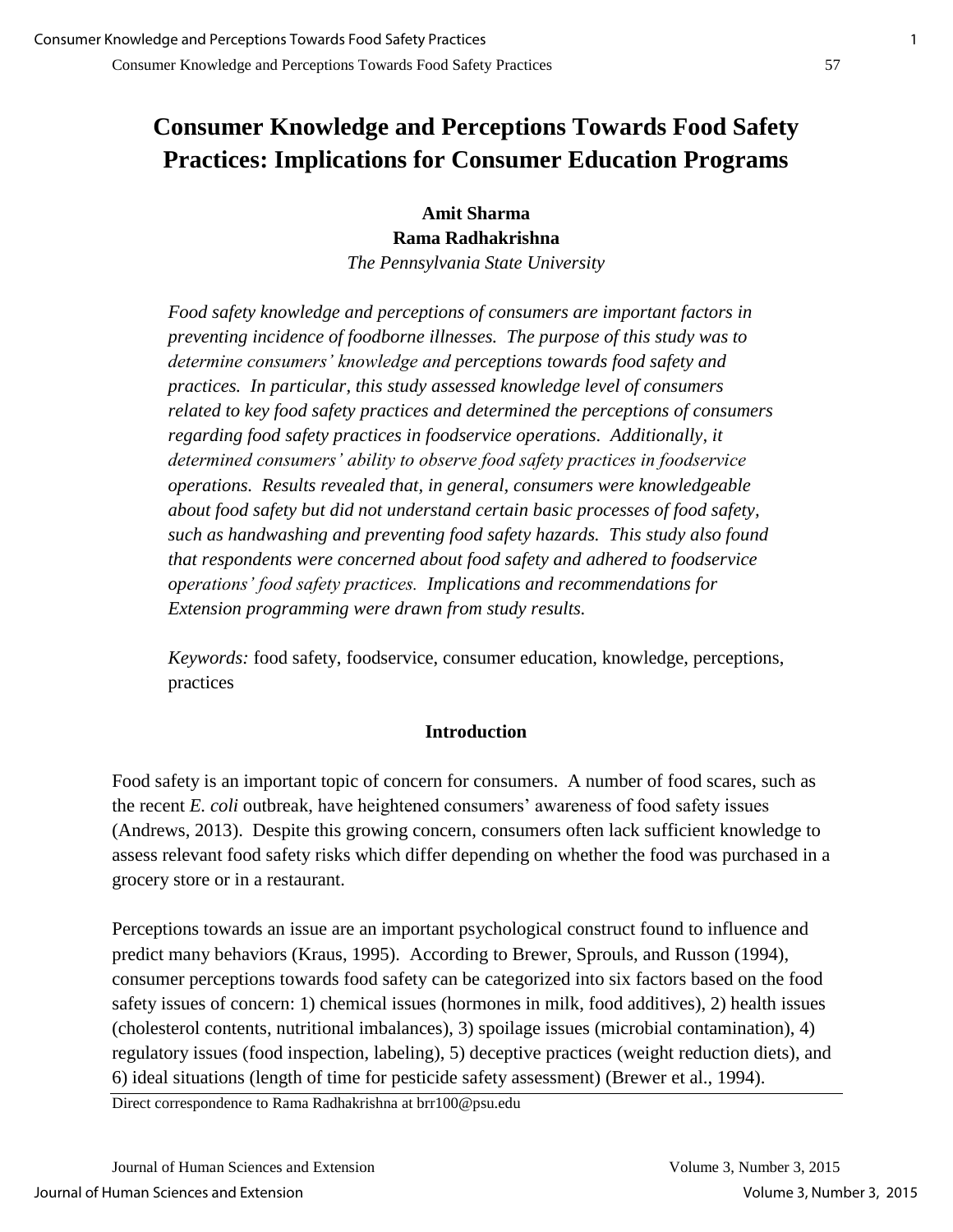## **Consumer Knowledge and Perceptions Towards Food Safety Practices: Implications for Consumer Education Programs**

**Amit Sharma Rama Radhakrishna**  *The Pennsylvania State University* 

*Food safety knowledge and perceptions of consumers are important factors in preventing incidence of foodborne illnesses. The purpose of this study was to determine consumers' knowledge and perceptions towards food safety and practices. In particular, this study assessed knowledge level of consumers related to key food safety practices and determined the perceptions of consumers regarding food safety practices in foodservice operations. Additionally, it determined consumers' ability to observe food safety practices in foodservice operations. Results revealed that, in general, consumers were knowledgeable about food safety but did not understand certain basic processes of food safety, such as handwashing and preventing food safety hazards. This study also found that respondents were concerned about food safety and adhered to foodservice operations' food safety practices. Implications and recommendations for Extension programming were drawn from study results.* 

*Keywords:* food safety, foodservice, consumer education, knowledge, perceptions, practices

### **Introduction**

Food safety is an important topic of concern for consumers. A number of food scares, such as the recent *E. coli* outbreak, have heightened consumers' awareness of food safety issues (Andrews, 2013). Despite this growing concern, consumers often lack sufficient knowledge to assess relevant food safety risks which differ depending on whether the food was purchased in a grocery store or in a restaurant.

Perceptions towards an issue are an important psychological construct found to influence and predict many behaviors (Kraus, 1995). According to Brewer, Sprouls, and Russon (1994), consumer perceptions towards food safety can be categorized into six factors based on the food safety issues of concern: 1) chemical issues (hormones in milk, food additives), 2) health issues (cholesterol contents, nutritional imbalances), 3) spoilage issues (microbial contamination), 4) regulatory issues (food inspection, labeling), 5) deceptive practices (weight reduction diets), and 6) ideal situations (length of time for pesticide safety assessment) (Brewer et al., 1994).

Direct correspondence to Rama Radhakrishna at brr100@psu.edu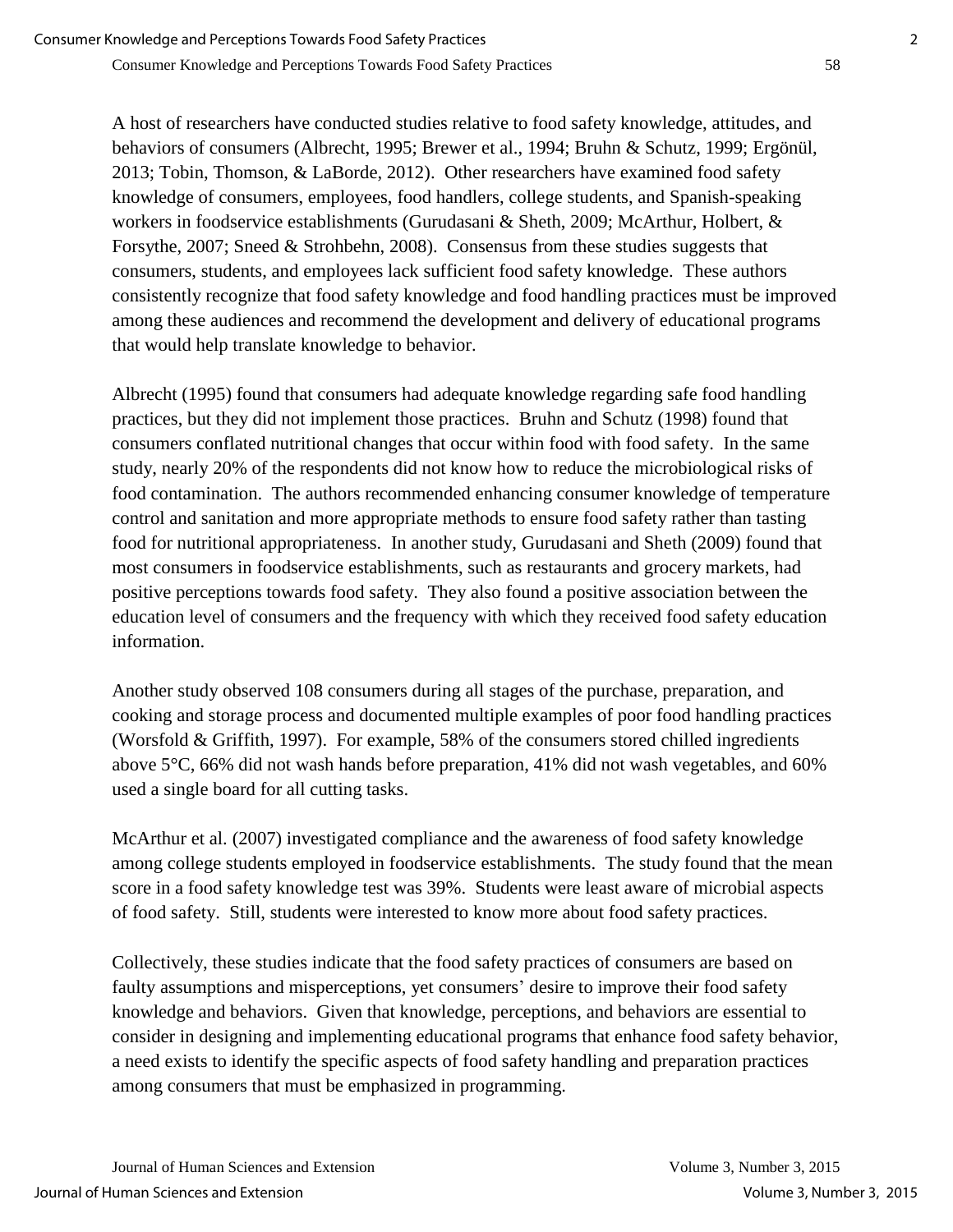A host of researchers have conducted studies relative to food safety knowledge, attitudes, and behaviors of consumers (Albrecht, 1995; Brewer et al., 1994; Bruhn & Schutz, 1999; Ergönül, 2013; Tobin, Thomson, & LaBorde, 2012). Other researchers have examined food safety knowledge of consumers, employees, food handlers, college students, and Spanish-speaking workers in foodservice establishments (Gurudasani & Sheth, 2009; McArthur, Holbert, & Forsythe, 2007; Sneed & Strohbehn, 2008). Consensus from these studies suggests that consumers, students, and employees lack sufficient food safety knowledge. These authors consistently recognize that food safety knowledge and food handling practices must be improved among these audiences and recommend the development and delivery of educational programs that would help translate knowledge to behavior.

Albrecht (1995) found that consumers had adequate knowledge regarding safe food handling practices, but they did not implement those practices. Bruhn and Schutz (1998) found that consumers conflated nutritional changes that occur within food with food safety. In the same study, nearly 20% of the respondents did not know how to reduce the microbiological risks of food contamination. The authors recommended enhancing consumer knowledge of temperature control and sanitation and more appropriate methods to ensure food safety rather than tasting food for nutritional appropriateness. In another study, Gurudasani and Sheth (2009) found that most consumers in foodservice establishments, such as restaurants and grocery markets, had positive perceptions towards food safety. They also found a positive association between the education level of consumers and the frequency with which they received food safety education information.

Another study observed 108 consumers during all stages of the purchase, preparation, and cooking and storage process and documented multiple examples of poor food handling practices (Worsfold & Griffith, 1997). For example, 58% of the consumers stored chilled ingredients above 5°C, 66% did not wash hands before preparation, 41% did not wash vegetables, and 60% used a single board for all cutting tasks.

McArthur et al. (2007) investigated compliance and the awareness of food safety knowledge among college students employed in foodservice establishments. The study found that the mean score in a food safety knowledge test was 39%. Students were least aware of microbial aspects of food safety. Still, students were interested to know more about food safety practices.

Collectively, these studies indicate that the food safety practices of consumers are based on faulty assumptions and misperceptions, yet consumers' desire to improve their food safety knowledge and behaviors. Given that knowledge, perceptions, and behaviors are essential to consider in designing and implementing educational programs that enhance food safety behavior, a need exists to identify the specific aspects of food safety handling and preparation practices among consumers that must be emphasized in programming.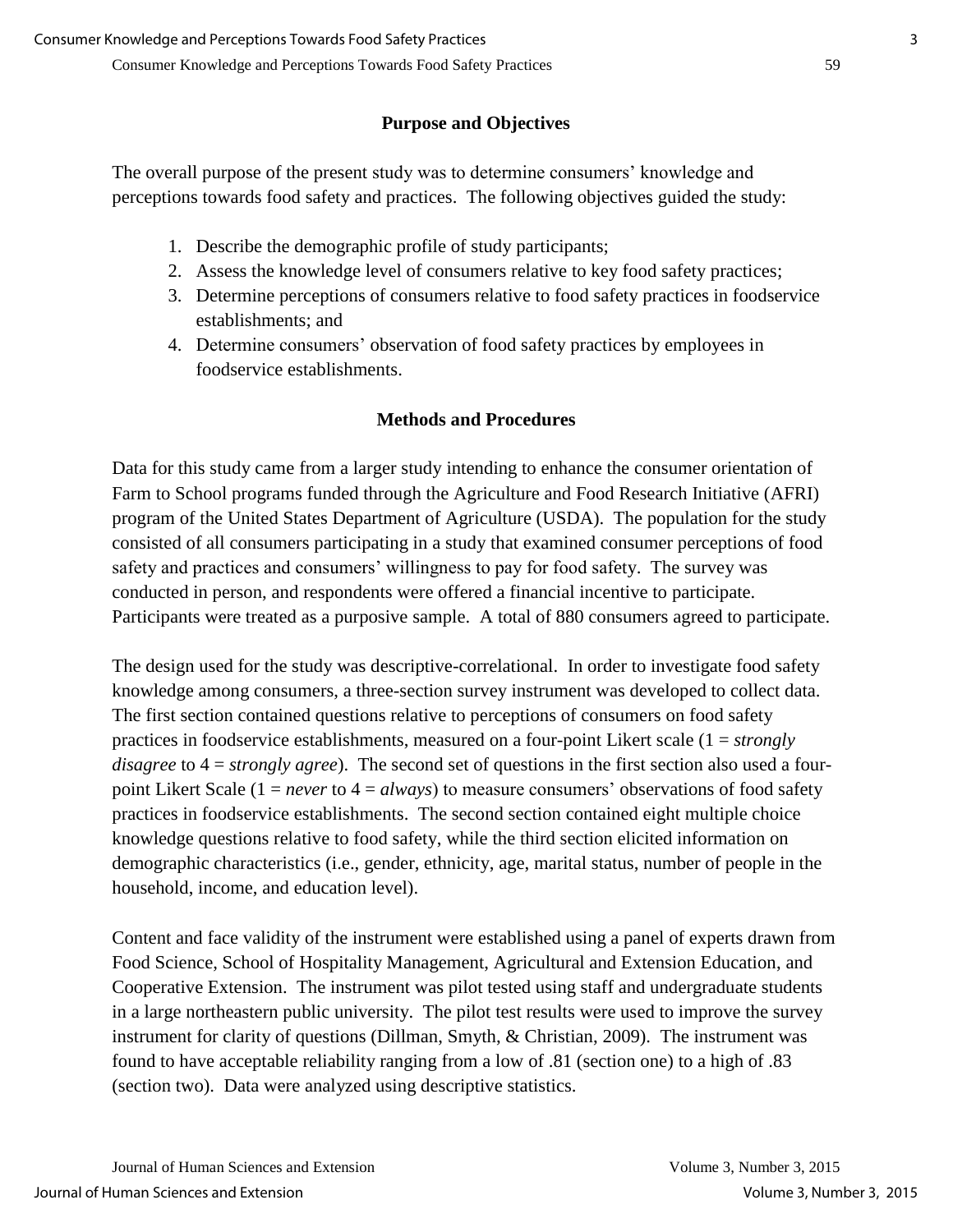### **Purpose and Objectives**

The overall purpose of the present study was to determine consumers' knowledge and perceptions towards food safety and practices. The following objectives guided the study:

- 1. Describe the demographic profile of study participants;
- 2. Assess the knowledge level of consumers relative to key food safety practices;
- 3. Determine perceptions of consumers relative to food safety practices in foodservice establishments; and
- 4. Determine consumers' observation of food safety practices by employees in foodservice establishments.

## **Methods and Procedures**

Data for this study came from a larger study intending to enhance the consumer orientation of Farm to School programs funded through the Agriculture and Food Research Initiative (AFRI) program of the United States Department of Agriculture (USDA). The population for the study consisted of all consumers participating in a study that examined consumer perceptions of food safety and practices and consumers' willingness to pay for food safety. The survey was conducted in person, and respondents were offered a financial incentive to participate. Participants were treated as a purposive sample. A total of 880 consumers agreed to participate.

The design used for the study was descriptive-correlational. In order to investigate food safety knowledge among consumers, a three-section survey instrument was developed to collect data. The first section contained questions relative to perceptions of consumers on food safety practices in foodservice establishments, measured on a four-point Likert scale (1 = *strongly disagree* to 4 = *strongly agree*). The second set of questions in the first section also used a fourpoint Likert Scale (1 = *never* to 4 = *always*) to measure consumers' observations of food safety practices in foodservice establishments. The second section contained eight multiple choice knowledge questions relative to food safety, while the third section elicited information on demographic characteristics (i.e., gender, ethnicity, age, marital status, number of people in the household, income, and education level).

Content and face validity of the instrument were established using a panel of experts drawn from Food Science, School of Hospitality Management, Agricultural and Extension Education, and Cooperative Extension. The instrument was pilot tested using staff and undergraduate students in a large northeastern public university. The pilot test results were used to improve the survey instrument for clarity of questions (Dillman, Smyth, & Christian, 2009). The instrument was found to have acceptable reliability ranging from a low of .81 (section one) to a high of .83 (section two). Data were analyzed using descriptive statistics.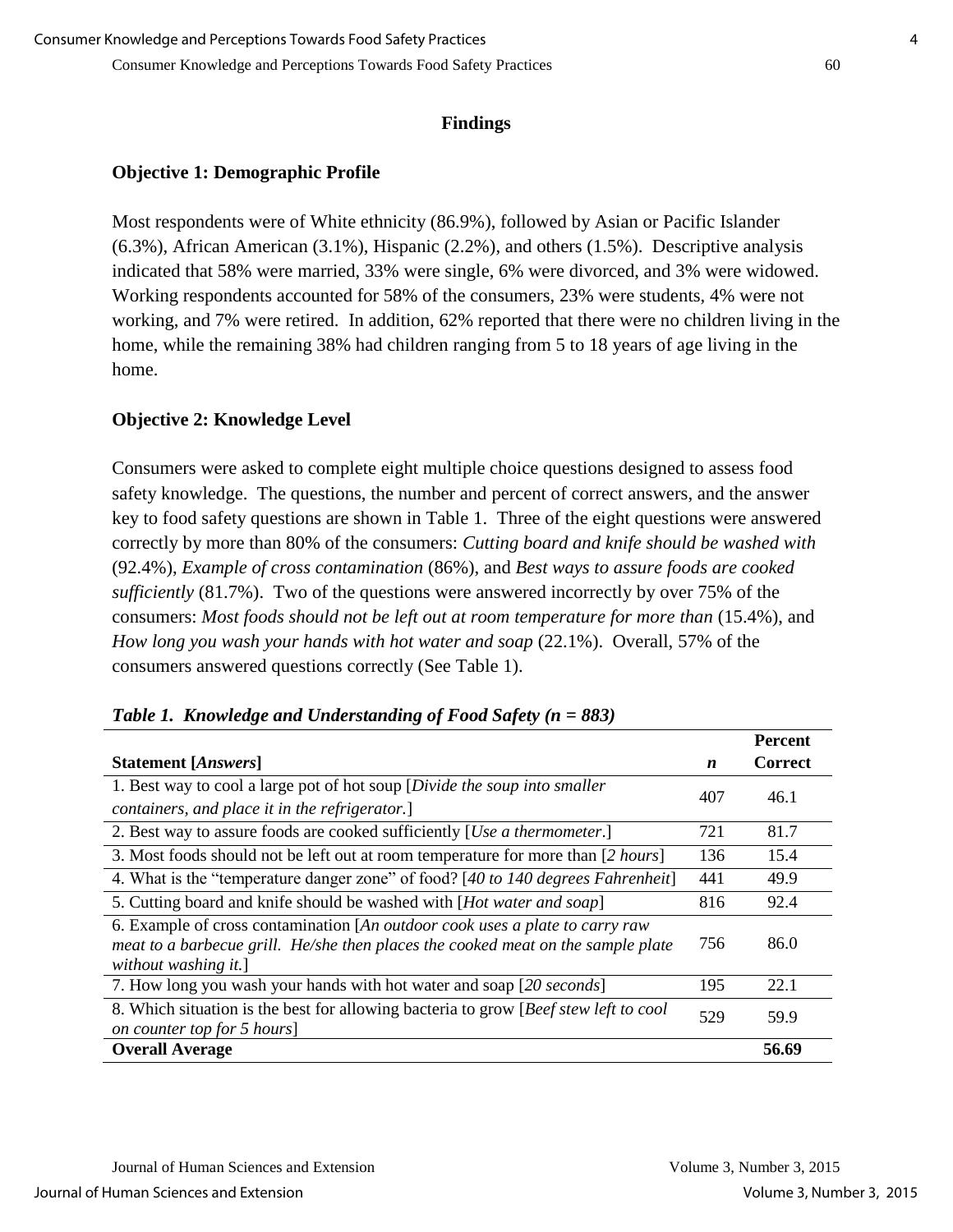#### **Findings**

#### **Objective 1: Demographic Profile**

Most respondents were of White ethnicity (86.9%), followed by Asian or Pacific Islander (6.3%), African American (3.1%), Hispanic (2.2%), and others (1.5%). Descriptive analysis indicated that 58% were married, 33% were single, 6% were divorced, and 3% were widowed. Working respondents accounted for 58% of the consumers, 23% were students, 4% were not working, and 7% were retired. In addition, 62% reported that there were no children living in the home, while the remaining 38% had children ranging from 5 to 18 years of age living in the home.

#### **Objective 2: Knowledge Level**

Consumers were asked to complete eight multiple choice questions designed to assess food safety knowledge. The questions, the number and percent of correct answers, and the answer key to food safety questions are shown in Table 1. Three of the eight questions were answered correctly by more than 80% of the consumers: *Cutting board and knife should be washed with* (92.4%), *Example of cross contamination* (86%), and *Best ways to assure foods are cooked sufficiently* (81.7%). Two of the questions were answered incorrectly by over 75% of the consumers: *Most foods should not be left out at room temperature for more than* (15.4%), and *How long you wash your hands with hot water and soap* (22.1%). Overall, 57% of the consumers answered questions correctly (See Table 1).

|                                                                                                                                                                                          |                  | <b>Percent</b> |
|------------------------------------------------------------------------------------------------------------------------------------------------------------------------------------------|------------------|----------------|
| <b>Statement</b> [Answers]                                                                                                                                                               | $\boldsymbol{n}$ | <b>Correct</b> |
| 1. Best way to cool a large pot of hot soup [Divide the soup into smaller                                                                                                                | 407              | 46.1           |
| containers, and place it in the refrigerator.]                                                                                                                                           |                  |                |
| 2. Best way to assure foods are cooked sufficiently [ <i>Use a thermometer</i> .]                                                                                                        | 721              | 81.7           |
| 3. Most foods should not be left out at room temperature for more than [2 hours]                                                                                                         | 136              | 15.4           |
| 4. What is the "temperature danger zone" of food? [40 to 140 degrees Fahrenheit]                                                                                                         | 441              | 49.9           |
| 5. Cutting board and knife should be washed with [ <i>Hot water and soap</i> ]                                                                                                           | 816              | 92.4           |
| 6. Example of cross contamination [An outdoor cook uses a plate to carry raw<br>meat to a barbecue grill. He/she then places the cooked meat on the sample plate<br>without washing it.] | 756              | 86.0           |
| 7. How long you wash your hands with hot water and soap [20 seconds]                                                                                                                     | 195              | 22.1           |
| 8. Which situation is the best for allowing bacteria to grow [Beef stew left to cool<br>on counter top for 5 hours]                                                                      | 529              | 59.9           |
| <b>Overall Average</b>                                                                                                                                                                   |                  | 56.69          |

#### *Table 1. Knowledge and Understanding of Food Safety (n = 883)*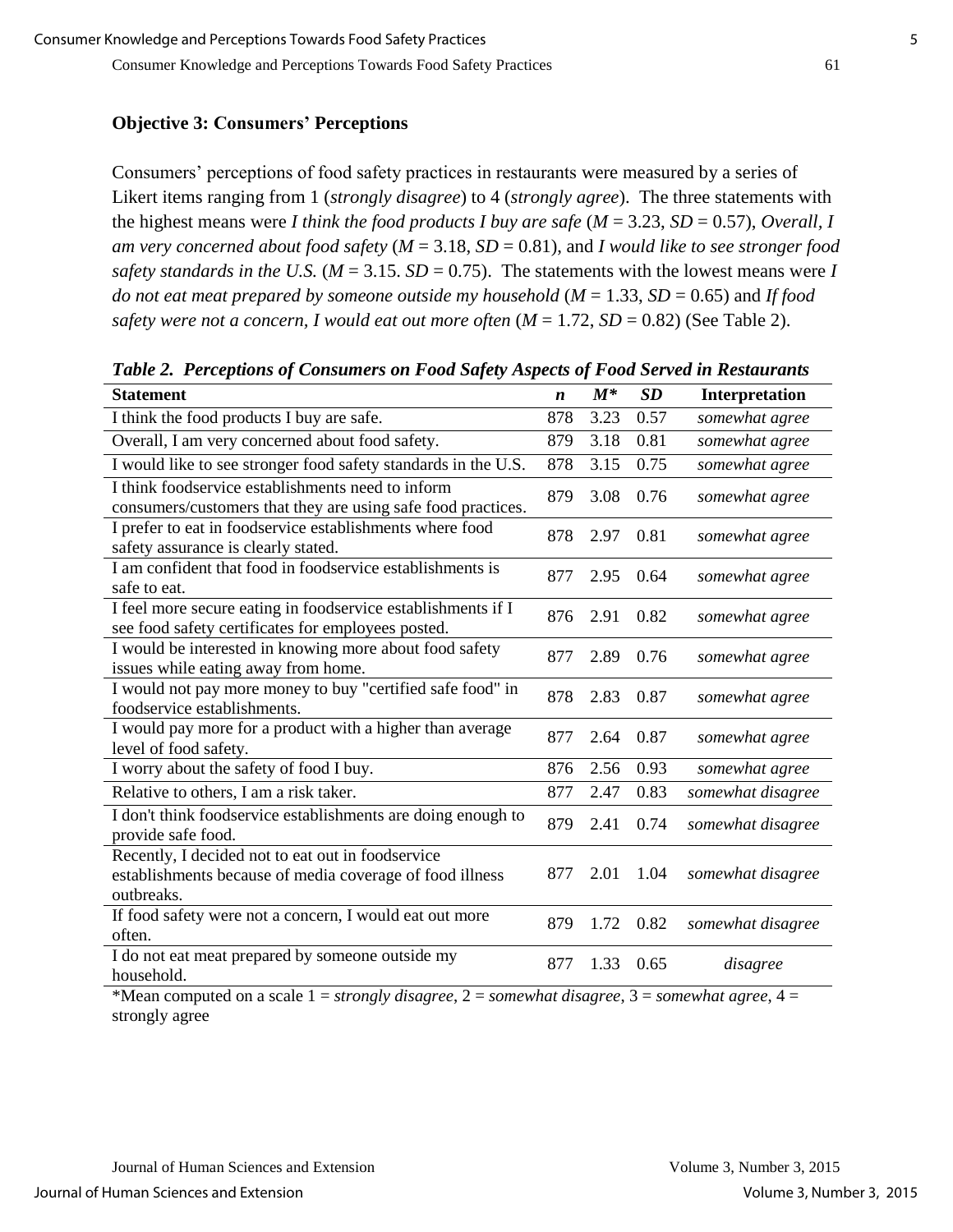Consumer Knowledge and Perceptions Towards Food Safety Practices 61

#### **Objective 3: Consumers' Perceptions**

Consumers' perceptions of food safety practices in restaurants were measured by a series of Likert items ranging from 1 (*strongly disagree*) to 4 (*strongly agree*). The three statements with the highest means were *I think the food products I buy are safe* (*M* = 3.23, *SD* = 0.57), *Overall, I am very concerned about food safety* (*M* = 3.18, *SD* = 0.81), and *I would like to see stronger food safety standards in the U.S.* ( $M = 3.15$ .  $SD = 0.75$ ). The statements with the lowest means were I *do not eat meat prepared by someone outside my household* (*M* = 1.33, *SD* = 0.65) and *If food safety were not a concern, I would eat out more often* (*M* = 1.72, *SD* = 0.82) (See Table 2).

**Statement** *n M\* SD* **Interpretation** I think the food products I buy are safe. 878 3.23 0.57 *somewhat agree* Overall, I am very concerned about food safety. 879 3.18 0.81 *somewhat agree* I would like to see stronger food safety standards in the U.S. 878 3.15 0.75 *somewhat agree* I think foodservice establishments need to inform consumers/customers that they are using safe food practices. 879 3.08 0.76 *somewhat agree* I prefer to eat in foodservice establishments where food safety assurance is clearly stated. <sup>878</sup> 2.97 0.81 *somewhat agree* I am confident that food in foodservice establishments is safe to eat. <sup>877</sup> 2.95 0.64 *somewhat agree* I feel more secure eating in foodservice establishments if I see food safety certificates for employees posted. <sup>876</sup> 2.91 0.82 *somewhat agree* I would be interested in knowing more about food safety issues while eating away from home.<br>issues while eating away from home. I would not pay more money to buy "certified safe food" in foodservice establishments. <sup>878</sup> 2.83 0.87 *somewhat agree* I would pay more for a product with a higher than average 877 2.64 0.87 *somewhat agree* level of food safety. I worry about the safety of food I buy. 876 2.56 0.93 *somewhat agree* Relative to others, I am a risk taker. 877 2.47 0.83 *somewhat disagree* I don't think foodservice establishments are doing enough to  $879$  2.41 0.74 *somewhat disagree* provide safe food. Recently, I decided not to eat out in foodservice establishments because of media coverage of food illness outbreaks. 877 2.01 1.04 *somewhat disagree* If food safety were not a concern, I would eat out more often. <sup>879</sup> 1.72 0.82 *somewhat disagree* I do not eat meat prepared by someone outside my household. <sup>877</sup> 1.33 0.65 *disagree*

*Table 2. Perceptions of Consumers on Food Safety Aspects of Food Served in Restaurants*

\*Mean computed on a scale 1 = *strongly disagree*, 2 = *somewhat disagree*, 3 = *somewhat agree*, 4 = strongly agree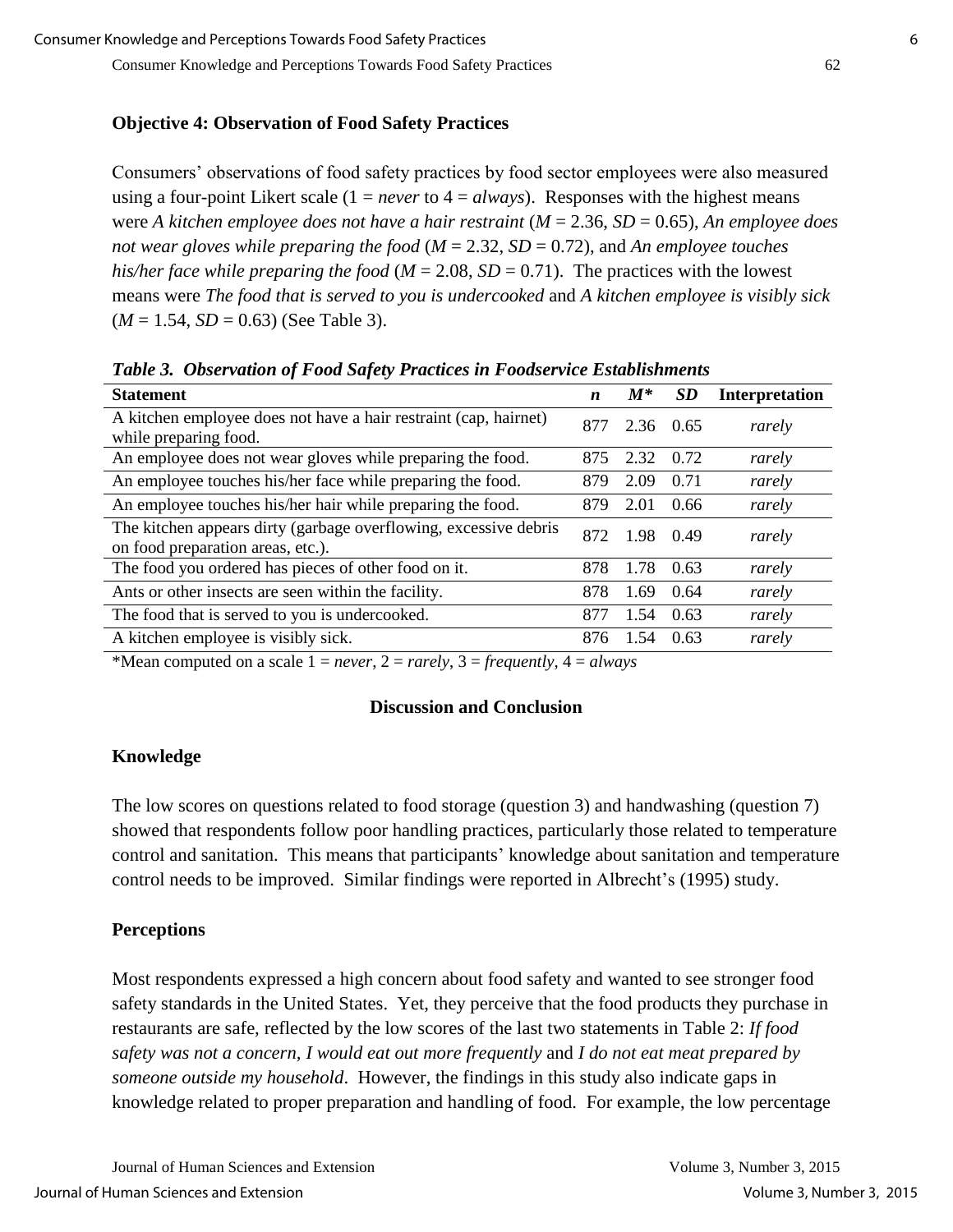#### **Objective 4: Observation of Food Safety Practices**

Consumers' observations of food safety practices by food sector employees were also measured using a four-point Likert scale  $(1 = never to 4 = always)$ . Responses with the highest means were *A kitchen employee does not have a hair restraint* (*M* = 2.36, *SD* = 0.65), *An employee does not wear gloves while preparing the food* (*M* = 2.32, *SD* = 0.72), and *An employee touches his/her face while preparing the food* ( $M = 2.08$ ,  $SD = 0.71$ ). The practices with the lowest means were *The food that is served to you is undercooked* and *A kitchen employee is visibly sick*  $(M = 1.54, SD = 0.63)$  (See Table 3).

| <b>Statement</b>                                                                                      | $\boldsymbol{n}$ | $M^*$     | <b>SD</b> | <b>Interpretation</b> |
|-------------------------------------------------------------------------------------------------------|------------------|-----------|-----------|-----------------------|
| A kitchen employee does not have a hair restraint (cap, hairnet)<br>while preparing food.             | 877              | 2.36 0.65 |           | rarely                |
| An employee does not wear gloves while preparing the food.                                            | 875              | 2.32      | 0.72      | rarely                |
| An employee touches his/her face while preparing the food.                                            | 879              | 2.09      | 0.71      | rarely                |
| An employee touches his/her hair while preparing the food.                                            | 879              | 2.01      | 0.66      | rarely                |
| The kitchen appears dirty (garbage overflowing, excessive debris<br>on food preparation areas, etc.). | 872              | 1.98      | 0.49      | rarely                |
| The food you ordered has pieces of other food on it.                                                  | 878              | 1.78      | 0.63      | rarely                |
| Ants or other insects are seen within the facility.                                                   | 878              | 1.69      | 0.64      | rarely                |
| The food that is served to you is undercooked.                                                        | 877              | 1.54      | 0.63      | rarely                |
| A kitchen employee is visibly sick.                                                                   | 876              | 1.54      | 0.63      | rarely                |

*Table 3. Observation of Food Safety Practices in Foodservice Establishments*

\*Mean computed on a scale  $1 = never$ ,  $2 = rarely$ ,  $3 = frequently$ ,  $4 = always$ 

#### **Discussion and Conclusion**

#### **Knowledge**

The low scores on questions related to food storage (question 3) and handwashing (question 7) showed that respondents follow poor handling practices, particularly those related to temperature control and sanitation.This means that participants' knowledge about sanitation and temperature control needs to be improved. Similar findings were reported in Albrecht's (1995) study.

#### **Perceptions**

Most respondents expressed a high concern about food safety and wanted to see stronger food safety standards in the United States. Yet, they perceive that the food products they purchase in restaurants are safe, reflected by the low scores of the last two statements in Table 2: *If food safety was not a concern, I would eat out more frequently* and *I do not eat meat prepared by someone outside my household*. However, the findings in this study also indicate gaps in knowledge related to proper preparation and handling of food. For example, the low percentage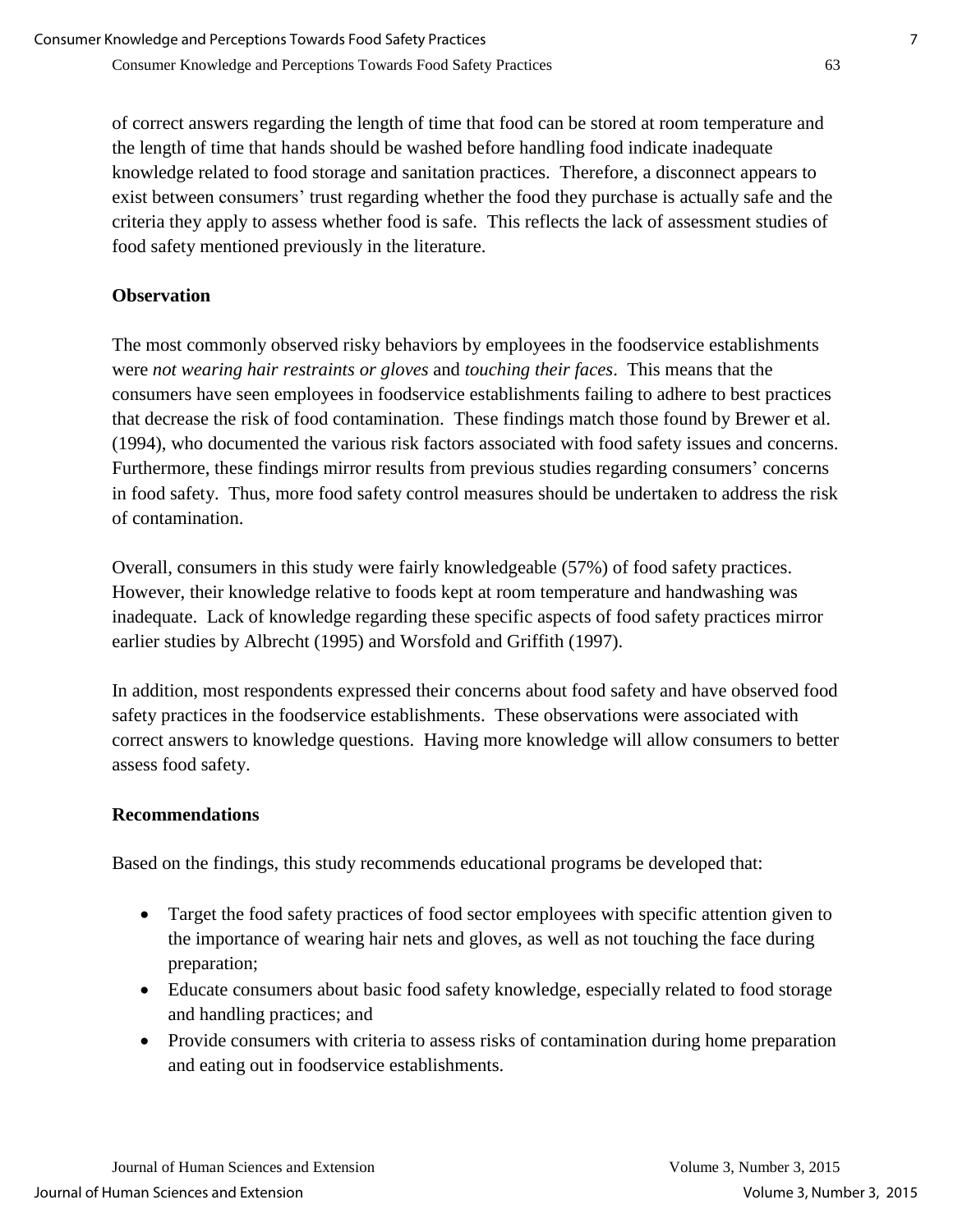of correct answers regarding the length of time that food can be stored at room temperature and the length of time that hands should be washed before handling food indicate inadequate knowledge related to food storage and sanitation practices. Therefore, a disconnect appears to exist between consumers' trust regarding whether the food they purchase is actually safe and the criteria they apply to assess whether food is safe. This reflects the lack of assessment studies of food safety mentioned previously in the literature.

## **Observation**

The most commonly observed risky behaviors by employees in the foodservice establishments were *not wearing hair restraints or gloves* and *touching their faces*. This means that the consumers have seen employees in foodservice establishments failing to adhere to best practices that decrease the risk of food contamination. These findings match those found by Brewer et al. (1994), who documented the various risk factors associated with food safety issues and concerns. Furthermore, these findings mirror results from previous studies regarding consumers' concerns in food safety. Thus, more food safety control measures should be undertaken to address the risk of contamination.

Overall, consumers in this study were fairly knowledgeable (57%) of food safety practices. However, their knowledge relative to foods kept at room temperature and handwashing was inadequate. Lack of knowledge regarding these specific aspects of food safety practices mirror earlier studies by Albrecht (1995) and Worsfold and Griffith (1997).

In addition, most respondents expressed their concerns about food safety and have observed food safety practices in the foodservice establishments. These observations were associated with correct answers to knowledge questions. Having more knowledge will allow consumers to better assess food safety.

## **Recommendations**

Based on the findings, this study recommends educational programs be developed that:

- Target the food safety practices of food sector employees with specific attention given to the importance of wearing hair nets and gloves, as well as not touching the face during preparation;
- Educate consumers about basic food safety knowledge, especially related to food storage and handling practices; and
- Provide consumers with criteria to assess risks of contamination during home preparation and eating out in foodservice establishments.